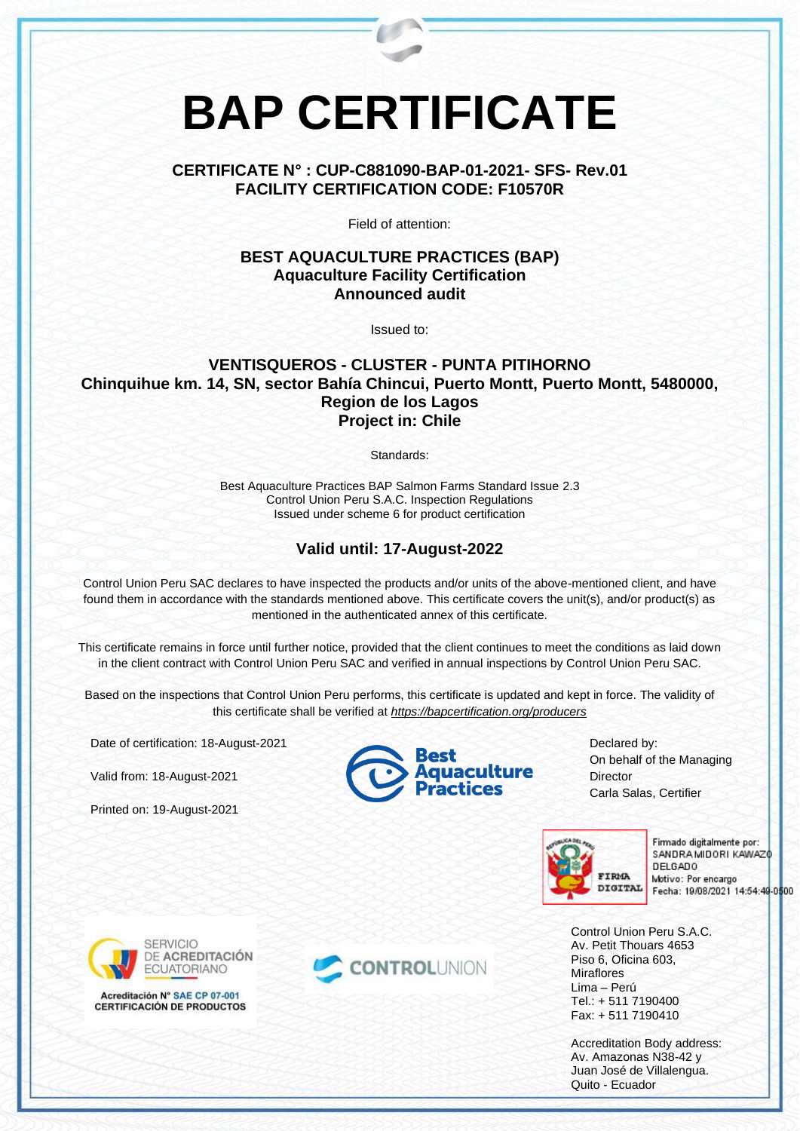# **BAP CERTIFICATE**

#### **CERTIFICATE N° : CUP-C881090-BAP-01-2021- SFS- Rev.01 FACILITY CERTIFICATION CODE: F10570R**

Field of attention:

#### **BEST AQUACULTURE PRACTICES (BAP) Aquaculture Facility Certification Announced audit**

Issued to:

## **VENTISQUEROS - CLUSTER - PUNTA PITIHORNO Chinquihue km. 14, SN, sector Bahía Chincui, Puerto Montt, Puerto Montt, 5480000, Region de los Lagos Project in: Chile**

Standards:

Best Aquaculture Practices BAP Salmon Farms Standard Issue 2.3 Control Union Peru S.A.C. Inspection Regulations Issued under scheme 6 for product certification

### **Valid until: 17-August-2022**

Control Union Peru SAC declares to have inspected the products and/or units of the above-mentioned client, and have found them in accordance with the standards mentioned above. This certificate covers the unit(s), and/or product(s) as mentioned in the authenticated annex of this certificate.

This certificate remains in force until further notice, provided that the client continues to meet the conditions as laid down in the client contract with Control Union Peru SAC and verified in annual inspections by Control Union Peru SAC.

Based on the inspections that Control Union Peru performs, this certificate is updated and kept in force. The validity of this certificate shall be verified at *<https://bapcertification.org/producers>*

Date of certification: 18-August-2021

Valid from: 18-August-2021

Printed on: 19-August-2021



Declared by: On behalf of the Managing **Director** Carla Salas, Certifier



Firmado digitalmente por: SANDRA MIDORI KAWAZO **DELGADO** Motivo: Por encargo Fecha: 19/08/2021 14:54:49-0500

Control Union Peru S.A.C. Av. Petit Thouars 4653 Piso 6, Oficina 603, **Miraflores** Lima – Perú Tel.: + 511 7190400 Fax: + 511 7190410

Accreditation Body address: Av. Amazonas N38-42 y Juan José de Villalengua. Quito - Ecuador